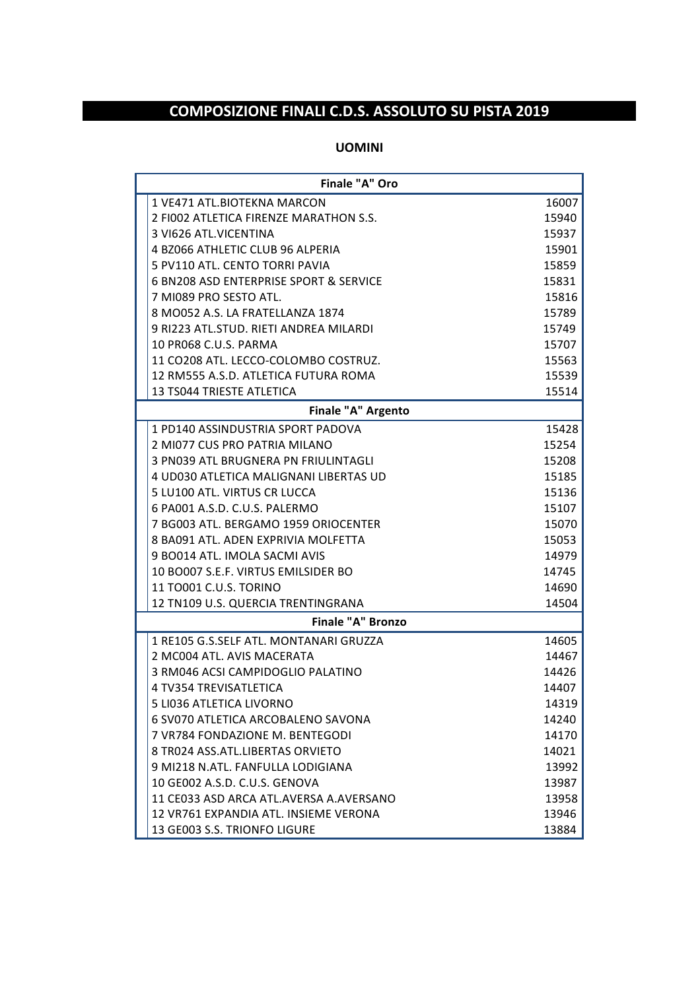## **COMPOSIZIONE FINALI C.D.S. ASSOLUTO SU PISTA 2019**

## **UOMINI**

| Finale "A" Oro |                                         |       |  |  |
|----------------|-----------------------------------------|-------|--|--|
|                | 1 VE471 ATL. BIOTEKNA MARCON            | 16007 |  |  |
|                | 2 FI002 ATLETICA FIRENZE MARATHON S.S.  | 15940 |  |  |
|                | 3 VI626 ATL.VICENTINA                   | 15937 |  |  |
|                | 4 BZ066 ATHLETIC CLUB 96 ALPERIA        | 15901 |  |  |
|                | 5 PV110 ATL. CENTO TORRI PAVIA          | 15859 |  |  |
|                | 6 BN208 ASD ENTERPRISE SPORT & SERVICE  | 15831 |  |  |
|                | 7 MI089 PRO SESTO ATL.                  | 15816 |  |  |
|                | 8 MO052 A.S. LA FRATELLANZA 1874        | 15789 |  |  |
|                | 9 RI223 ATL.STUD. RIETI ANDREA MILARDI  | 15749 |  |  |
|                | 10 PR068 C.U.S. PARMA                   | 15707 |  |  |
|                | 11 CO208 ATL. LECCO-COLOMBO COSTRUZ.    | 15563 |  |  |
|                | 12 RM555 A.S.D. ATLETICA FUTURA ROMA    | 15539 |  |  |
|                | 13 TS044 TRIESTE ATLETICA               | 15514 |  |  |
|                | Finale "A" Argento                      |       |  |  |
|                | 1 PD140 ASSINDUSTRIA SPORT PADOVA       | 15428 |  |  |
|                | 2 MI077 CUS PRO PATRIA MILANO           | 15254 |  |  |
|                | 3 PN039 ATL BRUGNERA PN FRIULINTAGLI    | 15208 |  |  |
|                | 4 UD030 ATLETICA MALIGNANI LIBERTAS UD  | 15185 |  |  |
|                | 5 LU100 ATL. VIRTUS CR LUCCA            | 15136 |  |  |
|                | 6 PA001 A.S.D. C.U.S. PALERMO           | 15107 |  |  |
|                | 7 BG003 ATL. BERGAMO 1959 ORIOCENTER    | 15070 |  |  |
|                | 8 BA091 ATL. ADEN EXPRIVIA MOLFETTA     | 15053 |  |  |
|                | 9 BO014 ATL. IMOLA SACMI AVIS           | 14979 |  |  |
|                | 10 BO007 S.E.F. VIRTUS EMILSIDER BO     | 14745 |  |  |
|                | 11 TO001 C.U.S. TORINO                  | 14690 |  |  |
|                | 12 TN109 U.S. QUERCIA TRENTINGRANA      | 14504 |  |  |
|                | <b>Finale "A" Bronzo</b>                |       |  |  |
|                | 1 RE105 G.S.SELF ATL. MONTANARI GRUZZA  | 14605 |  |  |
|                | 2 MC004 ATL, AVIS MACERATA              | 14467 |  |  |
|                | 3 RM046 ACSI CAMPIDOGLIO PALATINO       | 14426 |  |  |
|                | 4 TV354 TREVISATLETICA                  | 14407 |  |  |
|                | 5 LI036 ATLETICA LIVORNO                | 14319 |  |  |
|                | 6 SV070 ATLETICA ARCOBALENO SAVONA      | 14240 |  |  |
|                | 7 VR784 FONDAZIONE M. BENTEGODI         | 14170 |  |  |
|                | 8 TR024 ASS.ATL.LIBERTAS ORVIETO        | 14021 |  |  |
|                | 9 MI218 N.ATL. FANFULLA LODIGIANA       | 13992 |  |  |
|                | 10 GE002 A.S.D. C.U.S. GENOVA           | 13987 |  |  |
|                | 11 CE033 ASD ARCA ATL.AVERSA A.AVERSANO | 13958 |  |  |
|                | 12 VR761 EXPANDIA ATL. INSIEME VERONA   | 13946 |  |  |
|                | 13 GE003 S.S. TRIONFO LIGURE            | 13884 |  |  |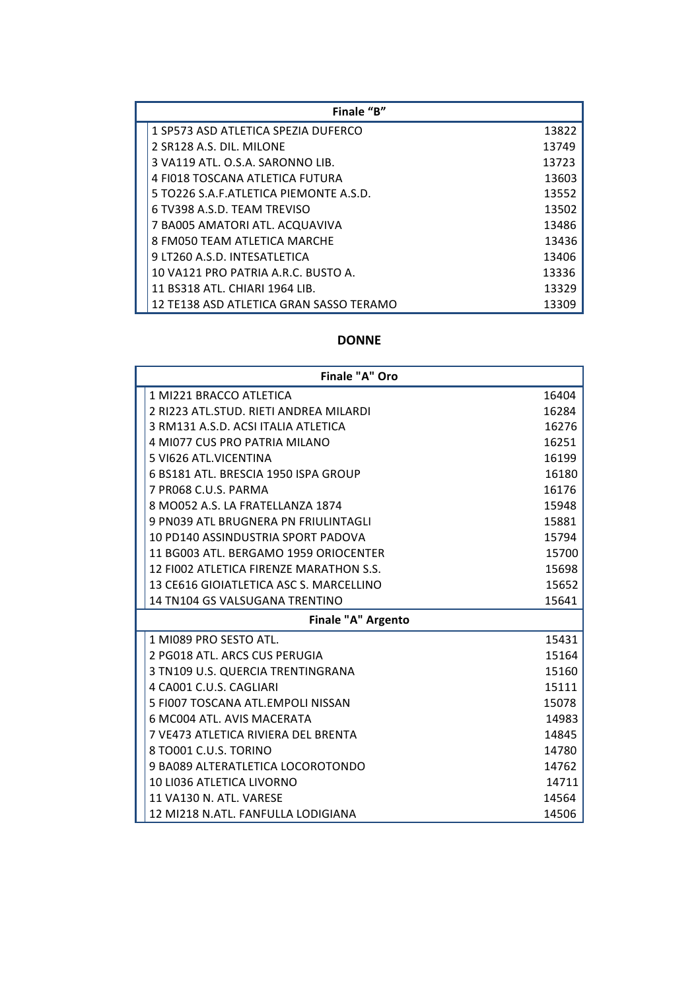| Finale "B"                              |       |  |  |  |
|-----------------------------------------|-------|--|--|--|
| 1 SP573 ASD ATLETICA SPEZIA DUFERCO     | 13822 |  |  |  |
| 2 SR128 A.S. DIL. MILONE                | 13749 |  |  |  |
| 3 VA119 ATL, O.S.A. SARONNO LIB.        | 13723 |  |  |  |
| 4 FI018 TOSCANA ATLETICA FUTURA         | 13603 |  |  |  |
| 5 TO226 S.A.F.ATLETICA PIEMONTE A.S.D.  | 13552 |  |  |  |
| 6 TV398 A.S.D. TEAM TREVISO             | 13502 |  |  |  |
| 7 BA005 AMATORI ATL. ACQUAVIVA          | 13486 |  |  |  |
| 8 FM050 TEAM ATLETICA MARCHE            | 13436 |  |  |  |
| 9 LT260 A.S.D. INTESATLETICA            | 13406 |  |  |  |
| 10 VA121 PRO PATRIA A.R.C. BUSTO A.     | 13336 |  |  |  |
| 11 BS318 ATL. CHIARI 1964 LIB.          | 13329 |  |  |  |
| 12 TE138 ASD ATLETICA GRAN SASSO TERAMO | 13309 |  |  |  |

## **DONNE**

| Finale "A" Oro                          |       |  |  |  |
|-----------------------------------------|-------|--|--|--|
| 1 MI221 BRACCO ATLETICA                 | 16404 |  |  |  |
| 2 RI223 ATL.STUD. RIETI ANDREA MILARDI  | 16284 |  |  |  |
| 3 RM131 A.S.D. ACSI ITALIA ATLETICA     | 16276 |  |  |  |
| 4 MI077 CUS PRO PATRIA MILANO           | 16251 |  |  |  |
| 5 VI626 ATL. VICENTINA                  | 16199 |  |  |  |
| 6 BS181 ATL. BRESCIA 1950 ISPA GROUP    | 16180 |  |  |  |
| 7 PR068 C.U.S. PARMA                    | 16176 |  |  |  |
| 8 MO052 A.S. LA FRATELLANZA 1874        | 15948 |  |  |  |
| 9 PN039 ATL BRUGNERA PN FRIULINTAGLI    | 15881 |  |  |  |
| 10 PD140 ASSINDUSTRIA SPORT PADOVA      | 15794 |  |  |  |
| 11 BG003 ATL. BERGAMO 1959 ORIOCENTER   | 15700 |  |  |  |
| 12 FIOO2 ATLETICA FIRENZE MARATHON S.S. | 15698 |  |  |  |
| 13 CE616 GIOIATLETICA ASC S. MARCELLINO | 15652 |  |  |  |
| 14 TN104 GS VALSUGANA TRENTINO          | 15641 |  |  |  |
| Finale "A" Argento                      |       |  |  |  |
| 1 MI089 PRO SESTO ATL.                  | 15431 |  |  |  |
| 2 PG018 ATL. ARCS CUS PERUGIA           | 15164 |  |  |  |
| 3 TN109 U.S. QUERCIA TRENTINGRANA       | 15160 |  |  |  |
| 4 CA001 C.U.S. CAGLIARI                 | 15111 |  |  |  |
| 5 FI007 TOSCANA ATL.EMPOLI NISSAN       | 15078 |  |  |  |
| 6 MC004 ATL, AVIS MACERATA              | 14983 |  |  |  |
| 7 VE473 ATLETICA RIVIERA DEL BRENTA     | 14845 |  |  |  |
| 8 TO001 C.U.S. TORINO                   | 14780 |  |  |  |
| 9 BA089 ALTERATLETICA LOCOROTONDO       | 14762 |  |  |  |
| 10 LI036 ATLETICA LIVORNO               | 14711 |  |  |  |
| 11 VA130 N. ATL. VARESE                 | 14564 |  |  |  |
| 12 MI218 N.ATL. FANFULLA LODIGIANA      | 14506 |  |  |  |